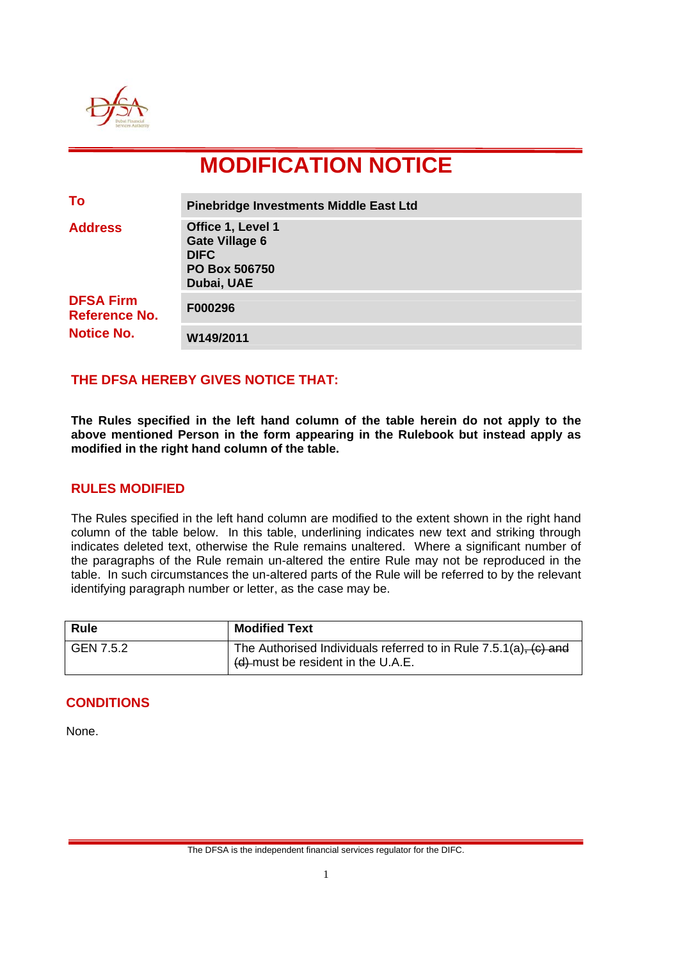

# **MODIFICATION NOTICE**

| To                                                            | <b>Pinebridge Investments Middle East Ltd</b>                                            |
|---------------------------------------------------------------|------------------------------------------------------------------------------------------|
| <b>Address</b>                                                | Office 1, Level 1<br><b>Gate Village 6</b><br><b>DIFC</b><br>PO Box 506750<br>Dubai, UAE |
| <b>DFSA Firm</b><br><b>Reference No.</b><br><b>Notice No.</b> | F000296                                                                                  |
|                                                               | W149/2011                                                                                |

## **THE DFSA HEREBY GIVES NOTICE THAT:**

**The Rules specified in the left hand column of the table herein do not apply to the above mentioned Person in the form appearing in the Rulebook but instead apply as modified in the right hand column of the table.** 

#### **RULES MODIFIED**

The Rules specified in the left hand column are modified to the extent shown in the right hand column of the table below. In this table, underlining indicates new text and striking through indicates deleted text, otherwise the Rule remains unaltered. Where a significant number of the paragraphs of the Rule remain un-altered the entire Rule may not be reproduced in the table. In such circumstances the un-altered parts of the Rule will be referred to by the relevant identifying paragraph number or letter, as the case may be.

| <b>Rule</b> | <b>Modified Text</b>                                                                                           |
|-------------|----------------------------------------------------------------------------------------------------------------|
| GEN 7.5.2   | The Authorised Individuals referred to in Rule $7.5.1(a)$ , $(c)$ and<br>$(d)$ -must be resident in the U.A.E. |

#### **CONDITIONS**

None.